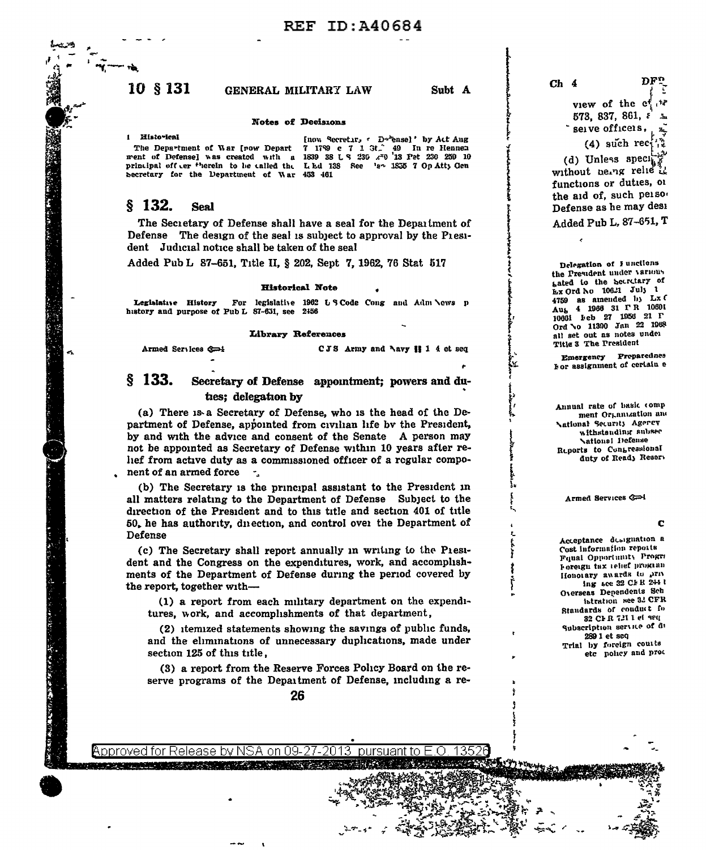Subt A

10 § 131

# GENERAL MILITARY LAW

# Notes of Decisions

1 Histovical

[now Secretir, : Dobense]' by Act Aug The Department of War [row Depart 7 1759 c 7 1 3t<sup>2</sup> 40 In re Henneh ment of Defense] was created with a 1839 38 L S 236  $\lambda$ <sup>-8</sup> 13 Pet 230 250 10 L Ld 138 See principal off cer <sup>P</sup>ierein to be called the 's" 1855 7 On Atty Gen Secretary for the Department of War 453 461

### $$132.$ **Seal**

The Secretary of Defense shall have a seal for the Department of Defense The design of the seal is subject to approval by the Piesident Judicial notice shall be taken of the seal

Added Pub L 87-651, Title II, § 202, Sept 7, 1962, 76 Stat 517

## **Historical Note**

For legislative 1962 U S Code Cong and Adm News p Legislative History history and purpose of Pub L 87-651, see 2456

## Library References

Armed Services @

CJS Army and Navy H 1 4 et seq

## $$133.$ Secretary of Defense appointment; powers and duties: delegation by

(a) There is a Secretary of Defense, who is the head of the Department of Defense, appointed from civilian life by the President, by and with the advice and consent of the Senate A person may not be appointed as Secretary of Defense within 10 years after rehef from active duty as a commissioned officer of a regular component of an armed force -

(b) The Secretary is the principal assistant to the President in all matters relating to the Department of Defense Subject to the direction of the President and to this title and section 401 of title 50, he has authority, direction, and control over the Department of Defense

(c) The Secretary shall report annually in writing to the Piesident and the Congress on the expenditures, work, and accomplishments of the Department of Defense during the period covered by the report, together with-

(1) a report from each military department on the expenditures, work, and accomplishments of that department,

(2) itemized statements showing the savings of public funds, and the eliminations of unnecessary duplications, made under section 125 of this title.

(3) a report from the Reserve Forces Policy Board on the reserve programs of the Department of Defense, including a re-

26

A BARA SADARA KE SARA SAMA SEKERA SA

**DFP**  $Ch<sub>4</sub>$ view of the et 573. 837. 861, 8 serve officers,  $(4)$  such rec (d) Unless speci without being relie if functions or duties, or the aid of, such peisor Defense as he may desi Added Pub L, 87-651, T

Delegation of Iunctions the President under various sated to the Secretary of Ex Ord No 10621 July 1 4759 as amended hy Lx ( Aug 4 1966 31 T R 10601 10661 keb 27 1956 21 P Ord No 11390 Jan 22 1968 all set out as notes under Title 3 The President

Emergency Preparednes For assignment of certain e

Annual rate of basic comp ment Organization and National Security Agency withstanding subsec National Defense Reports to Congressional duty of Ready Resorv

Armed Services Grad

### C

Acceptance designation a Cost information reports Fqual Opportunity Progra Foreign tax relief program Honotary awards to priv ing see 32 CFR 2441 Overseas Dependents Sch istration see 3. CFR Standards of conduct fo 32 CFR 721 1 et seq Subscription service of di 289 1 et seq Trial by foreign courts etc policy and proc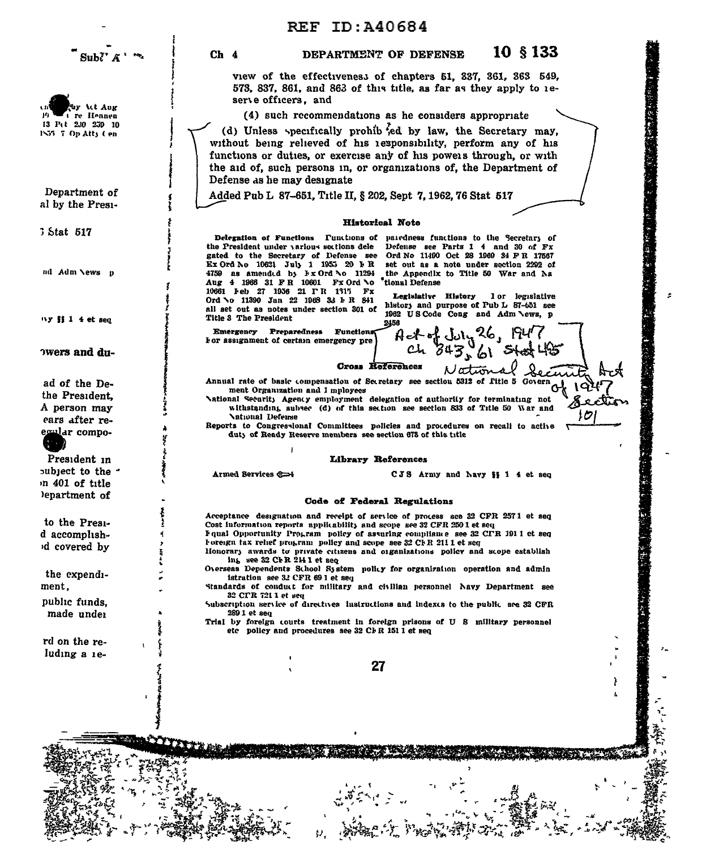|                                         | KEF.<br><b>ID:A40684</b>                                                                                                                                                                                                                                                                                                                     |  |
|-----------------------------------------|----------------------------------------------------------------------------------------------------------------------------------------------------------------------------------------------------------------------------------------------------------------------------------------------------------------------------------------------|--|
|                                         | $10 \t3133$<br>Ch <sub>4</sub><br>DEPARTMENT OF DEFENSE                                                                                                                                                                                                                                                                                      |  |
|                                         | view of the effectiveness of chapters 51, 337, 361, 363 549,<br>573, 837, 861, and 863 of this title, as far as they apply to re-<br>serve officers, and                                                                                                                                                                                     |  |
| by At Aug<br>t re Hennen                | (4) such recommendations as he considers appropriate                                                                                                                                                                                                                                                                                         |  |
| 13 Pet 230 250 10<br>1855 7 Op Atty Cen | (d) Unless specifically prohib fed by law, the Secretary may,<br>without being relieved of his responsibility, perform any of his<br>functions or duties, or exercise any of his powers through, or with                                                                                                                                     |  |
|                                         | the aid of, such persons in, or organizations of, the Department of<br>Defense as he may designate                                                                                                                                                                                                                                           |  |
| Department of<br>al by the Presi-       | Added Pub L 87-651, Title II, § 202, Sept 7, 1962, 76 Stat 517                                                                                                                                                                                                                                                                               |  |
|                                         | <b>Historical Note</b>                                                                                                                                                                                                                                                                                                                       |  |
| 3 Stat 517                              | Delegation of Functions Functions of paredness functions to the Secretary of<br>the President under various sections dele<br>Defense see Parts 1 4 and 30 of Fx<br>gated to the Secretary of Defense see<br>Ord No 11490 Oct 28 1969 34 F R 17567<br>Ex Ord No 10621 July 1 1955 20 FR<br>set out as a note under section 2292 of            |  |
| nd Adm \ews p                           | 4759 as amended by Fx Ord No 11294<br>the Appendix to Title 50 War and Na<br>tional Defense<br>Aug 4 1966 31 FR 10601 Fx Ord \o<br>10661 Feb 27 1936 21 FR 1915 Fx<br>Legislative History<br>l or legislative<br>Ord \o 11390 Jan 22 1968 33 b R 841<br>history and purpose of Pub L 87-651 see<br>all set out as notes under section 301 of |  |
| ny \$\$14 et seq                        | 1962 US Code Cong and Adm \ews, p<br>Title 3 The President<br>2456<br><b>Emergency Preparedness Functions</b><br>For assignment of certain emergency pre                                                                                                                                                                                     |  |
| wers and du-                            | Act of July 26, 1947<br>National Securi<br>Cross References                                                                                                                                                                                                                                                                                  |  |
| ad of the De-                           | Annual rate of basic compensation of Secretary see section 5312 of Fitle 5 Govern                                                                                                                                                                                                                                                            |  |
| the President,                          | ment Organization and I mployees                                                                                                                                                                                                                                                                                                             |  |
| A person may                            | Sectio<br>National Security Agency employment delegation of authority for terminating not<br>withstanding subsec (d) of this section see section 833 of Title 50 War and                                                                                                                                                                     |  |
| ears after re-                          | <b>National Defense</b>                                                                                                                                                                                                                                                                                                                      |  |
| e <u>cul</u> ar compo-                  | Reports to Congressional Committees policies and procedures on recall to active<br>duty of Ready Reserve members see section 673 of this title                                                                                                                                                                                               |  |
| President in                            | Library References                                                                                                                                                                                                                                                                                                                           |  |
| subject to the "                        | Armed Services C <sub>24</sub><br>CJS Army and Navy \$\$ 1 4 et seq                                                                                                                                                                                                                                                                          |  |
| n 401 of title                          |                                                                                                                                                                                                                                                                                                                                              |  |
| lepartment of                           | Code of Federal Regulations                                                                                                                                                                                                                                                                                                                  |  |
| to the Presi-                           | Acceptance designation and receipt of service of process sce 32 CFR 2571 et seq<br>Cost information reports applicability and scope see 32 CFR 250 1 et seq                                                                                                                                                                                  |  |
| d accomplish-                           | Fqual Opportunity Program policy of assuring compliance see 32 CFR 1911 et seq                                                                                                                                                                                                                                                               |  |
| <sup>d</sup> covered by                 | Foreign tax relief program policy and scope see 32 CFR 211 1 et seq<br>Honorary awards to private citizens and organizations policy and scope establish<br>ing see 32 CFR 2H1 et seo<br>Overseas Dependents School System policy for organization operation and admin                                                                        |  |
| the expendi-                            | istration see 32 CFR 69 1 et seq                                                                                                                                                                                                                                                                                                             |  |
| ment,                                   | Standards of conduct for military and civilian personnel Navy Department see<br>32 CFR 721 1 et seq                                                                                                                                                                                                                                          |  |
| public funds,<br>made under             | Subseription service of directives instructions and indexes to the public see 32 CFR<br>289 1 et seq                                                                                                                                                                                                                                         |  |
|                                         | Trial by foreign courts treatment in foreign prisons of U S military personnel<br>etc policy and procedures see 32 CFR 151 1 et seq                                                                                                                                                                                                          |  |
| rd on the re-                           |                                                                                                                                                                                                                                                                                                                                              |  |
| luding a re-                            |                                                                                                                                                                                                                                                                                                                                              |  |
|                                         | 27                                                                                                                                                                                                                                                                                                                                           |  |
|                                         |                                                                                                                                                                                                                                                                                                                                              |  |
|                                         |                                                                                                                                                                                                                                                                                                                                              |  |
|                                         |                                                                                                                                                                                                                                                                                                                                              |  |
|                                         |                                                                                                                                                                                                                                                                                                                                              |  |
|                                         |                                                                                                                                                                                                                                                                                                                                              |  |
|                                         |                                                                                                                                                                                                                                                                                                                                              |  |
|                                         |                                                                                                                                                                                                                                                                                                                                              |  |
|                                         |                                                                                                                                                                                                                                                                                                                                              |  |
|                                         |                                                                                                                                                                                                                                                                                                                                              |  |
|                                         |                                                                                                                                                                                                                                                                                                                                              |  |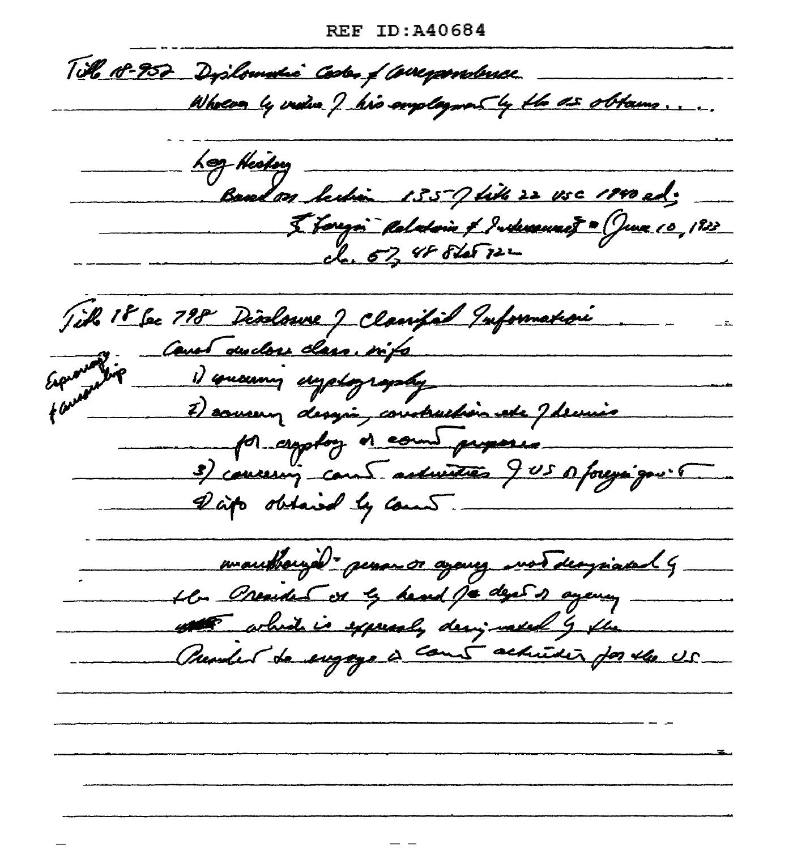REF ID:A40684

Till 18-952 Dyslomatic Codes of Coverposations <u>Whoever by vailur J kis amplayment by the as obtains...</u>  $\frac{1}{2}$   $\frac{1}{2}$   $\frac{1}{2}$   $\frac{1}{2}$   $\frac{1}{2}$   $\frac{1}{2}$   $\frac{1}{2}$   $\frac{1}{2}$   $\frac{1}{2}$   $\frac{1}{2}$   $\frac{1}{2}$   $\frac{1}{2}$   $\frac{1}{2}$   $\frac{1}{2}$   $\frac{1}{2}$   $\frac{1}{2}$   $\frac{1}{2}$   $\frac{1}{2}$   $\frac{1}{2}$   $\frac{1}{2}$   $\frac{1}{2}$   $\frac{1}{2}$  Baudon Lechin 1357 fils 22 vsc 1940 ed. Jik 18 be 798 Dislaure J Clanifiel Information Cent au desse dans sixte por expositor et communications lap obtained by count. mouthought person agange modificated 9 the President of to head paradeget of again, with which is expressly designed g the President de engage à comme actuaire por vle US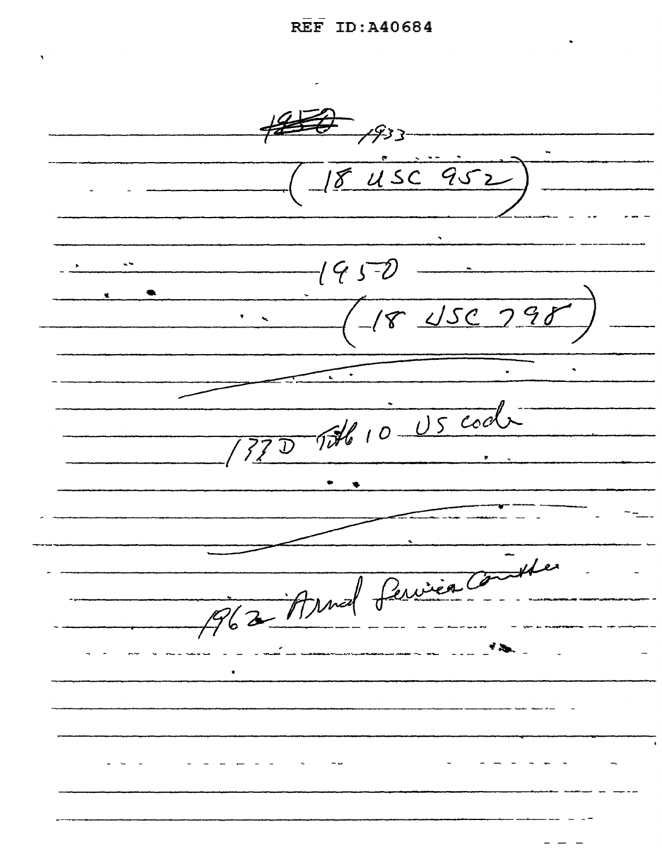-4933-18 USC 952 -{G 5=D  $181507$ 330 Title 10 US cod 962 Arnal Lewisa Contre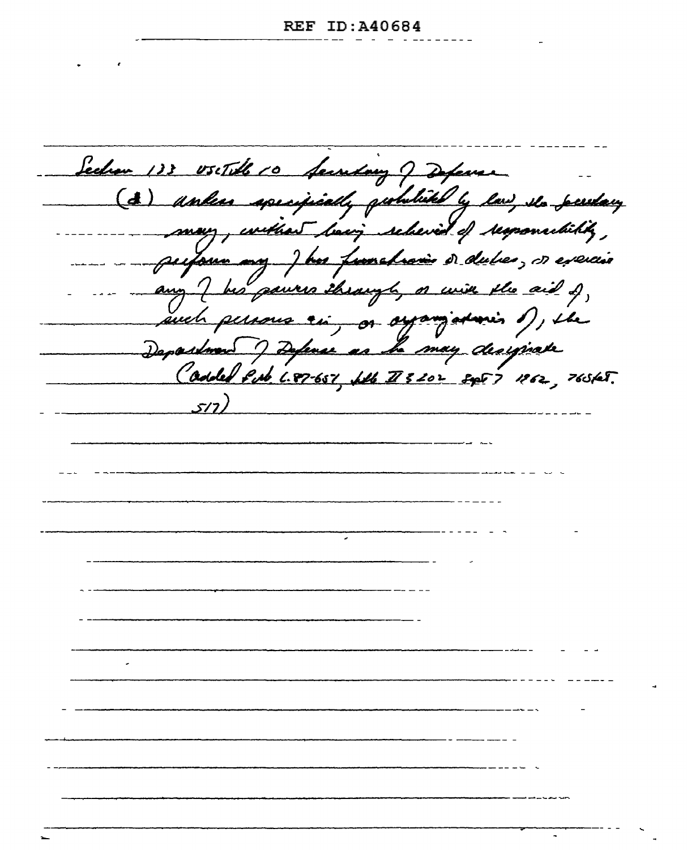Sechan 133 05: Till 10 Secretary of Defense (d) anless specifically probabiled by law, the perday bacing relieved of responsibility, muy athan Lour my J ha funchain or dules, or exercise his pauris through <u>os univer the aid of</u> any such persons sig or syramjaturis 1),  $\mu$ 7 Defense as le may designate Department Caddel Pub 1.87-657, Wh II 3202 8457 1962, 7651et. (ربر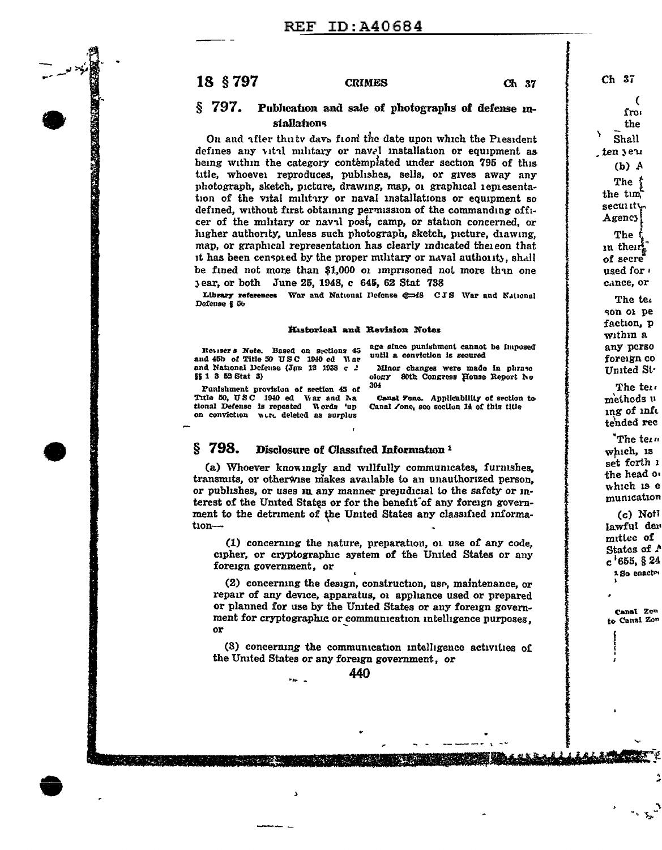18 § 797

# **CRIMES**

### § 797. Publication and sale of photographs of defense installations

On and after thirty days from the date upon which the President defines any vital military or naval installation or equipment as being within the category contemplated under section 795 of this title, whoever reproduces, publishes, sells, or gives away any photograph, sketch, picture, drawing, map, or graphical representation of the vital military or naval installations or equipment so defined, without first obtaining permission of the commanding officer of the military or navil post, camp, or station concerned, or higher authority, unless such photograph, sketch, picture, diawing, map, or graphical representation has clearly indicated thereon that it has been censored by the proper military or naval authority, shall be fined not more than \$1,000 or imprisoned not more than one year, or both June 25, 1948, c 645, 62 Stat 738

Library references War and National Defense @ 48 CJS War and National Defense § 56

### Historical and Revision Notes

Roviser's Note. Based on sections 45 and 45h of Title 50 USC 1940 cd Nar and National Defense (Jan 12 1938 c 2 §§ 1 3 52 Stat 3)

age since punishment cannot be imposed until a conviction is secured

Minor changes were made in phrase 80th Congress House Report No ology 304

Punishment provision of section 45 of tional Defense is repeated War and Na on conviction were deleted as surplus

Canal Fone. Applicability of section to-Canal Zone, seo section 14 of this title

### $$798.$ Disclosure of Classified Information<sup>1</sup>

(a) Whoever knowingly and willfully communicates, furnishes, transmits, or otherwise makes available to an unauthorized person. or publishes, or uses in any manner prejudicial to the safety or interest of the United States or for the benefit of any foreign government to the detriment of the United States any classified information-

(1) concerning the nature, preparation, of use of any code, cipher, or cryptographic system of the United States or any foreign government, or

(2) concerning the design, construction, uso, maintenance, or repair of any device, apparatus, or appliance used or prepared or planned for use by the United States or any foreign government for cryptographic or communication intelligence purposes, or

(3) concerning the communication intelligence activities of the United States or any foreign government, or

440

C fro: the Shall ten yeu (b) A The the tim. security Agency The

 $Ch<sub>37</sub>$ 

in their of secre used for cance, or

The ter son or pe faction, p within a any perso foreign co United St-

The ter. methods **11** ing of info tended rec

"The tern which, is set forth 1 the head of which is e munication

(c) Noti lawful der mittee of States of A  ${\rm c}$   $^1$  655, § 24 1 So enacter

Canal Zen to Canal Zon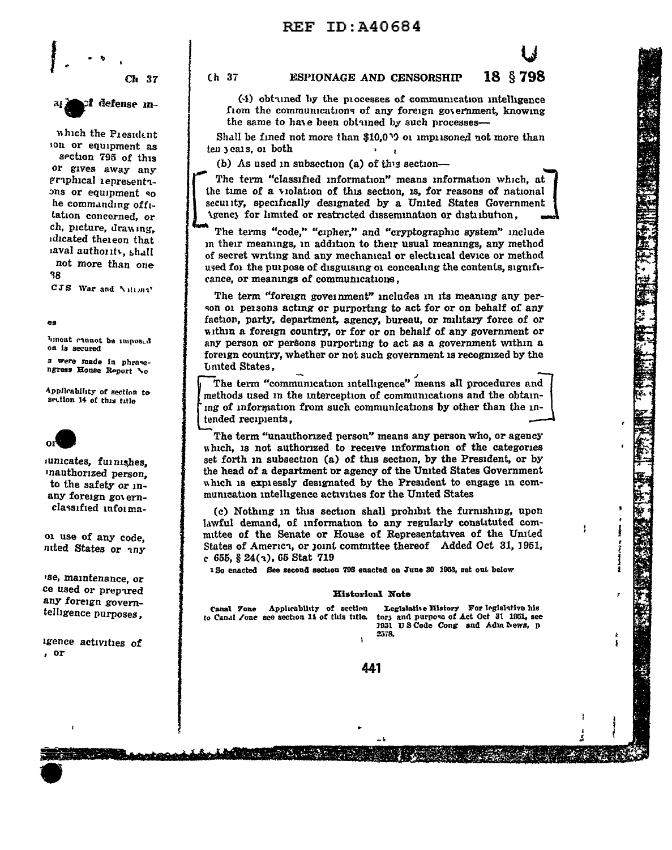# **REF ID: A40684**



which the President ion or equipment as section 795 of this or gives away any graphical iepresentaons or equipment so he commanding offitation concerned, or ch, picture, drawing, idicated thereon that iaval authority, shall not more than one 38

CJS War and National

### es

hinent cannot be imposed on is secured

s were made in phrasengress House Report No

Applicability of section to section 14 of this title



*iunicates*, furnishes, mauthorized person. to the safety or inany foreign governclassified informa-

or use of any code, nited States or any

'se, maintenance, or ce used or prepared any foreign governtelligence purposes,

1gence activities of , or

# $(h<sub>37</sub>$

### 18 § 798 ESPIONAGE AND CENSORSHIP

(4) obtuned by the processes of communication intelligence from the communications of any foreign government, knowing the same to have been obtuned by such processes-

Shall be fined not more than \$10.009 or imprisoned not more than ten years, or both

(b) As used in subsection (a) of this section-

The term "classified information" means information which, at the time of a violation of this section, is, for reasons of national security, specifically designated by a United States Government Agency for limited or restricted dissemination or distribution,

The terms "code," "cipher," and "cryptographic system" include in their meanings, in addition to their usual meanings, any method of secret writing and any mechanical or electrical device or method used for the purpose of disguising or concealing the contents, significance, or meanings of communications.

The term "foreign government" includes in its meaning any person or persons acting or purporting to act for or on behalf of any faction, party, department, agency, bureau, or military force of or within a foreign country, or for or on behalf of any government or any person or persons purporting to act as a government within a foreign country, whether or not such government is recognized by the United States,

The term "communication intelligence" means all procedures and methods used in the interception of communications and the obtaining of information from such communications by other than the intended recipients.

The term "unauthorized person" means any person who, or agency which, is not authorized to receive information of the categories set forth in subsection (a) of this section, by the President, or by the head of a department or agency of the United States Government which is expressly designated by the President to engage in communication intelligence activities for the United States

(c) Nothing in this section shall prohibit the furnishing, upon lawful demand, of information to any regularly consututed committee of the Senate or House of Representatives of the United States of America, or joint committee thereof Added Oct 31, 1951,  $c$  655, § 24(1), 65 Stat 719

÷

1 So enacted See second section 798 enacted on June 30 1953, set out below

 $\mathbf{1}$ 

## **Historical Note**

Legislative History For legislative his Canal *Tone* Applicability of section tory and purpose of Act Oct 31 1951, see to Canal Zone see section 11 of this title. 1951 US Code Cong and Adm News, p 2578.

441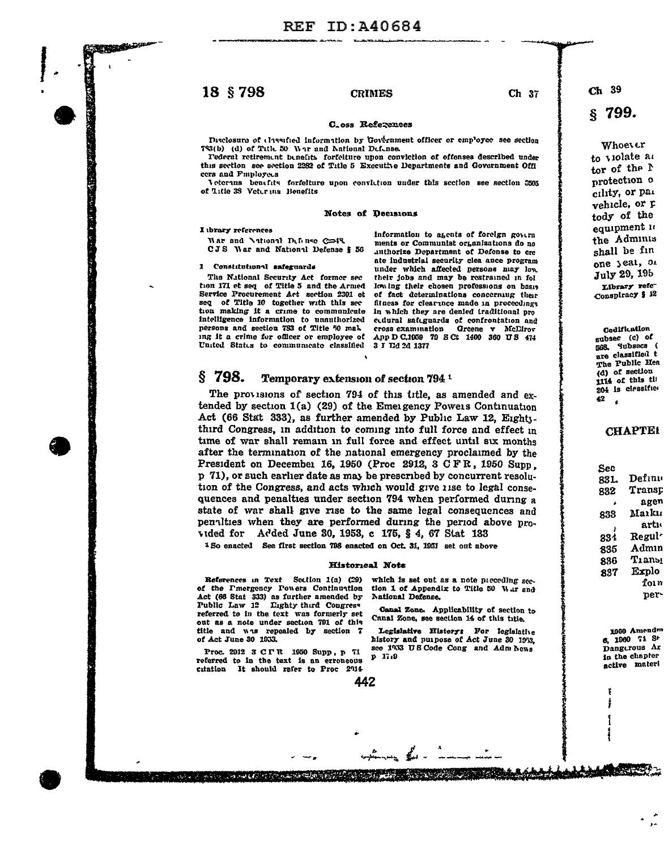**REF ID: A40684** 

# 18 § 798

# **CRIMES**

### C.oss References

Disclosure of classified information by Government officer or employee see section 783(b) (d) of Title 50 War and National Defense.

Tederal retirement benefits forfeiture upon conviction of offenses described under this section see section 2282 of Title 5 Executive Departments and Government Offi cers and Fmployees

Veterans benefits forfelture unon conviction under this section see section 3505. of Title 38 Veter ins Benefits

### **Notes of Decisions**

# I ibrary references

War and National Defense C=48. CJS War and National Defense § 56

### 1 Constitutional safeguards

The National Security Act former sec tion 171 et seq of Title 5 and the Armed Service Procurement Act section 2301 et seq of Title 10 together with this sec tion making it a crime to communicate intelligence information to unauthorized persons and section 7S3 of Title 50 mak ing it a crime for officer or employee of United States to communicate classified

information to agents of foreign govern ments or Communist organizations do no authorize Department of Defense to cre ate industrial security clea ance program under which affected persons may low. their jobs and may be restrained in fol lowing their chosen professions on basis of fact determinations concerning their fitness for clearance made in proceedings in which they are denied traditional pro cedural safeguards of confrontation and Greene v McCirov cross examination App D C.1959 79 S Ct 1400 360 U S 474 3 J Ed 2d 1377

### § 798. Temporary extension of section 794<sup>t</sup>

The provisions of section 794 of this title, as amended and extended by section  $1(a)$  (29) of the Emergency Powers Continuation Act (66 Stat 333), as further amended by Public Law 12, Eightythird Congress, in addition to coming into full force and effect in time of war shall remain in full force and effect until six months after the termination of the national emergency proclaimed by the President on December 16, 1950 (Proc 2912, 3 CFR, 1950 Supp. p 71), or such earlier date as may be prescribed by concurrent resolution of the Congress, and acts which would give rise to legal consequences and penalties under section 794 when performed during a state of war shall give rise to the same legal consequences and penalties when they are performed during the period above provided for Added June 30, 1953, c 175, § 4, 67 Stat 133

<sup>1</sup> So enacted See first section 798 enacted on Oct. 31, 1951 set out above

### **Historical Note**

442

References in Text Section 1(a) (29) of the Fmergency Powers Continuation Act (66 Stat 333) as further amended by<br>Public Law 12 Lighty third Congress referred to in the text was formerly set out as a note under section 791 of this title and was repealed by section 7 of Act June 30 1953.

Proc. 2912 3 C I'R 1950 Supp, p 71 referred to in the text is an erroneous citation It should refer to Proc 2914

which is set out as a note preceding section 1 of Appendix to Title 50 War and **National Defense** 

Canal Zone. Applicability of section to Canal Zone, see section 14 of this title.

Legislative History: For legislative history and purpose of Act June 30 1953, see 1933 US Code Cong and Adm News  $p 17.9$ 

 $Ch$  39

 $Ch<sub>37</sub>$ 

# § 799.

Whoever to violate an tor of the P protection o cility, or par vehicle, or p tody of the equipment in the Adminis shall be fin one year, or July 29, 195 Library refe-Conspiracy \$ 12

Codification subsec (c) of 568. Subsecs ( are classified t The Public Hea (d) of section 1114 of this til 204 is clessified 42  $\cdot$ 

## **CHAPTEI**

Sec Defini 831. Transp 832 agen Marku 833 artı. Regul<sup>-</sup> 834 Admin 835 Transı 836 Explo 837 fol n per-

> 1960 Amendm 6, 1960 71 St Dangerous Ar in the chapter active materi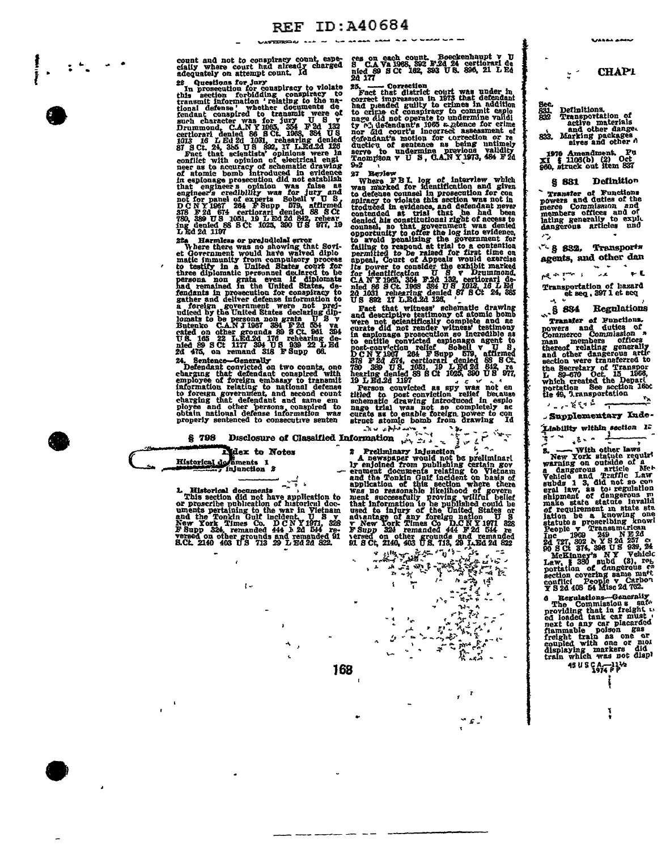cially where court had already charged<br>
adequately on attempt count. Id<br>
adequately on a stempt count, Id<br>
In prosecution for conspiracy to<br>
this section forcinding conspiracy to<br>
transmit information relating to the nat-<br>

Let 2d 1107<br>
22. Harmless or projection we were very the Let 2d 1107<br>
22. Harmless or projection computed diplo<br>
which the chines in a United States or process to<br>
three diplomatic personnel declared to be<br>
persona non gra

2d 475, on remand 318 F Supp 66.<br>
24 475, on remand 318 F Supp 66.<br>
24 Defendant convicted on two counts, one charging that defendant conspired with<br>
cemployee of foreign embassy to transmit<br>
information relating to nation

count and not to conspiracy count, espe- ces on each count. Boeckenhaupt  $\vee$  U cially where court had already charged S C.A Va 1968, 392 F.2d 24 certiorari de adequately on attempt count. Id also S C 162, 393 U S. 896, 2

2d 177<br>
25. Torrection<br>
Fact that district court was underdant<br>
correct impression in 1973 that defendant<br>
corines of conspiracy to commut espion<br>
to crime of conspiracy to commute valid<br>
ty corines did not operate to unde

There we be a state of interview which<br>
we make a set of the state and the state of the magnetic ordense connect in prosecution for contract<br>
where the decay of the state of the and the base of the street of violate this s

US 892 17 L.Ed.2d 126, The Case of the Secretion and descriptive testimony of atomic bomb and descriptive testimon were not getentifically complete and are current to incredible as the september of the convicted espionage

hearing denied S3 S Ct 1025, 390 U S 977, 19 L Ed.2d 1197<br>
Person coavicted as spr was not entitled to post conviction relief because<br>
effect as spr was not entitled to coat conviction reflect because<br>
schematic drawing in

## \$798



1. Historical decuments<br>
This section did not have application to<br>
or prosecribe publication of historical doc-<br>
or prosecribe publication of historical documents<br>
and the Tonkin Gulf incident. U S you<br>
New York Times Co.

onal defense information was curate as to enable foreign power to conditioned to consecutive senten strain in  $\mathcal{L}_n$ .<br>
Disclosure of Classified Information  $\mathcal{L}_n$ .<br>
Allex to Notes<br>  $\mathcal{L}_n$ .<br>
Allex to Notes<br>  $\mathcal{L$ 

ç.

Ä,

 $\overline{\phantom{a}}$  $\bullet$ 

Ř دي.<br>د و

-r

- 5 -

168



 $\frac{1}{2}$ 

S 832, Transports agents, and other dan

AR A TIME A  $\mathcal{L}(\mathbf{X})$  $\ddot{\phantom{1}}$ Transportation of hazard<br>et seq. 397 1 et seq

 $\sim$  \$ 834 Regulations with the same and different of Final and different commission and different commission and other differed to an analytic and other dimensional control and other dimensional control the Section vers extend to the section ve section were transported to Secretary of Transported the Depart<br>L 89-670 Oct. 15 1966, which readed the Depart<br>portation See section 1686<br>tie 49, J.ransportation

سي سي ڪاري سي

- Supplementary Inde-

Hability within section 12

Level of the same and the southern in the same and the same and the same and the same and the same and the same and the same and in the same in the same in the same in the same in the same in the same in the same in the sa

x S 20 408 64 M186 24 762.<br>
6 Regulations-Generality<br>
The Commission s safe<br>
providing that in freight we<br>
commission s safe<br>
providing that in freight we<br>
can the next to any car placerded<br>
flammable poison gas<br>
freight t

 $45$  U S  $C_{474}$   $P^{\prime\prime}$ 



Ĩ

**CHAP1**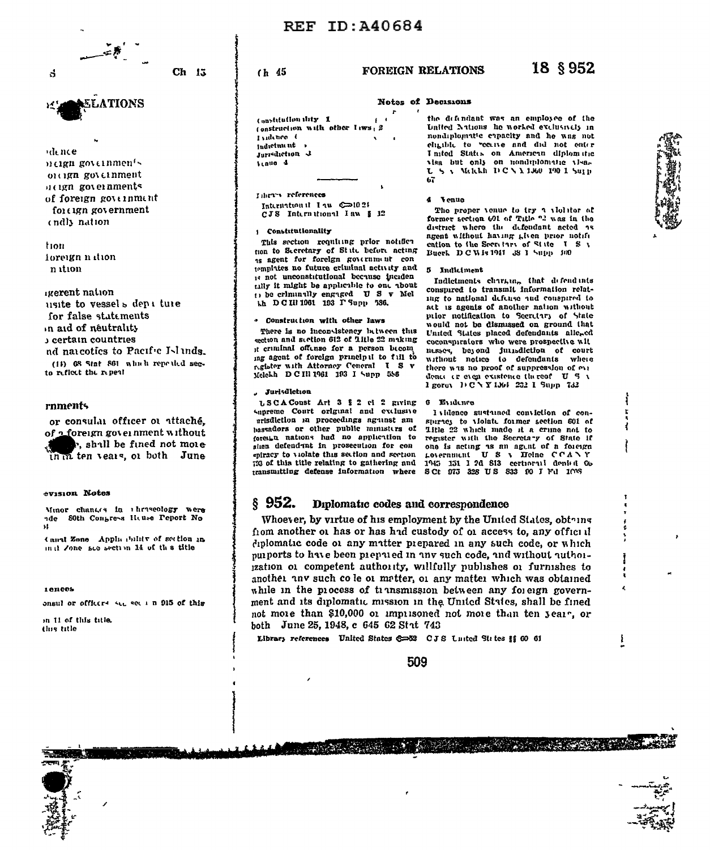

idence neign governments ortign government neign governments of foreign government  $for \ell$  ign government endly nation

tion foreign nation n ition

*igerent* nation usite to vessels dept ture for false statements in aid of neutrality b certain countries ad narcotics to Pacific Islands. (14) 68 Stat 861 which repealed secto reflect the repeal

# rnments

or consulai officer ot attaché. of a foreign government without r, shall be fined not more in m ten vears, or both June

### evision Notes

Minor changes in thriseology were nde. Soth Congress Heuse Peport No  $\mathbf{H}$ 

Canal Zone Applic shifty of section in in it Zone see section 14 of this title

### rences

onsul or officers see we in 915 of this

in 11 of this title. this title

# REF TD: A40684

# $(h, 45)$

Notes of Decisions  $\mathbf{r}$ Constitution dity 1 construction with other liws 2 Indence (

indictment Jurisdiction 3 tinus 4

Ithers references International Law Coll 21 CJS International law \$ 12

### *i* Constitutionality

This section requising prior notifier tion to Secretary of State before acting as agent for foreign government con templates no future criminal activity and 14 not unconstitutional because inciden tilly it might be applicable to one about to be criminally engaged U S v Mel Lh DCIN1961 193 I Supp 586.

## · Construction with other laws

There is no inconsistency between this section and section 612 of Title 22 making it criminal offense for a person becom ing agent of foreign principal to fail to register with Attorney Ceneral I  $S_{V}$ Melckh D C Ill 1961 193 I Supp 588

# , Jurisdiction

LSCAConst Art 3 § 2 cl 2 giving supreme Court original and exclusive urisdiction in proceedings against am bassadors or other public ministers of forcaga nations had no application to slien defendant in prosecution for con entracy to violate this section and section 793 of this title relating to gathering and transmitting defense information where

### the defendant was an employee of the United Nations he worked exclusively in nondiplomatic capacity and he was not cligible to "ecrive and did not enter Inited States on American diplomatic visa but only on nondiplomatic visa-L S & Malch DCN1150 190 1 Supp 67

### 4 Venue

FOREIGN RELATIONS

The proper yeaus to try a yiel stor of former section 601 of Title "2 was in the district where the defendant acted as agent without having given prior notification to the Secretary of State I S v Buerk DCWis 1941 38 1 Supp 400

### 5. Indiciment

Indictments charging that defendints conspired to transmit information relating to national defense and conspired to att is agents of another nation without prior notification to Secretary of State would not be dismissed on ground that United States placed defendants alleged coconspirators who were prospective wit nesses, beyond jurisdiction of court without notice to defendants where there was no proof of suppression of ever dence or even existence thereof USA 1 gorov DCNY1364 232 I Supp 732

### 6 Endeato

I vidence sustained conviction of conspirity to violate former section 601 of Title 22 which made it a crime not to engister with the Secretary of State if<br>register with the Secretary of State if<br>one is acting as an agent of a foreign<br>povernment U S v Heine CCANY<br>1945 151 1 2d 813 certioral denied Co SCt 975 328 US 833 90 J Fd 100S

### \$952. Diplomatic codes and correspondence

Whoever, by virtue of his employment by the United States, obtains from another or has or has had custody of or access to, any official diplomatic code of any matter prepared in any such code, or which purports to have been prepared in any such code, and without authorization of competent authority, willfully publishes of furnishes to another any such cole or matter, or any matter which was obtained while in the process of transmission between any foreign government and its diplomatic mission in the United States, shall be fined not more than \$10,000 or imprisoned not more than ten year, or both June 25, 1948, c 645 62 Stat 743

Library references United States 6.33 CJS Luited States §§ 60 61

509





z.

÷

# 18 \$952

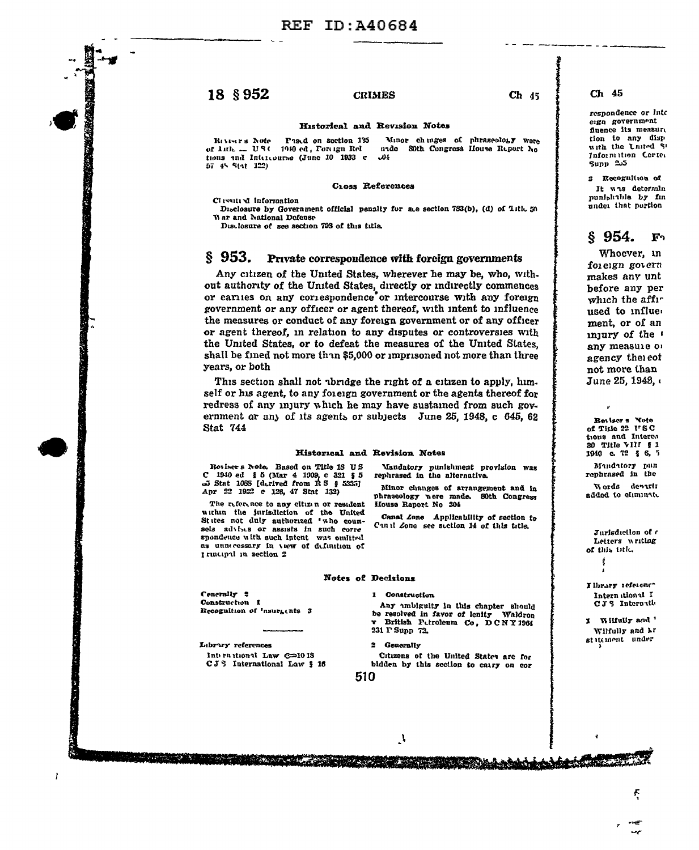# 18 \$952

# **CRIMES**

# Ch 45

respondence or inte eign government finence its mensure tion to any disp with the United St Information Center  $Sumb - 25$ 

3 Recognition of It was determin punishable by fin under that portion

### § 954.  $\mathbf{F}$

Whoever, in foreign govern makes any unt before any per which the affir used to influe. ment. or of an iniury of the ' any measure of agency thereot not more than June 25, 1948,

Revisers Vote of Title 22 USC tions and Interco 30 Title VIII § 1

1940 c 72 § 6, 5 Mundutory pun rephrased in the Words denati added to eliminate

Jurisdiction of c Letters writing of this title. f,

Y Digary reference International I CJS Internation

I Wiffully and ' Wilfully and Lr st itement – under

Historical and Revision Notes

Minor changes of phraseology were Pastd on section 135 Reviser's Note of little ... USA 1940 ed, Portuga Rel tions and Intercourse (June 10 1933 c Soth Congress House Report No nado  $.01$ 57 45 Stat 122)

### Cross References

Classified information

Disclosure by Government official penalty for a e section 733(b), (d) of 1sth. 50 War and National Defense

Disclosure of see section 793 of this fitle.

### $$953.$ Private correspondence with foreign governments

Any citizen of the United States, wherever he may be, who, without authority of the United States, directly or indirectly commences or carries on any correspondence or intercourse with any foreign government or any officer or agent thereof, with intent to influence the measures or conduct of any foreign government or of any officer or agent thereof, in relation to any disputes or controversies with the United States, or to defeat the measures of the United States. shall be fined not more than \$5,000 or imprisoned not more than three years, or both

This section shall not ubridge the right of a citizen to apply, himself or his agent, to any foreign government or the agents thereof for redress of any mjury which he may have sustained from such government ar any of its agents or subjects June 25, 1948, c 645, 62 Stat 744

## Historical and Revision Notes

Revisers Note. Based on Title 13 US C 1940 ed \$ 5 (Mar 4 1909, c 321 \$ 5<br>
5 Stat 1088 [drived from R S \$ 5335]<br>
Apr 22 1932 c 126, 47 Stat 132)

The reference to any citizen or resident within the jurisdiction of the United<br>Stites not duly authorized 'who counsels advises or assists in such corre spondence with such intent was omitted as unnecessary in view of definition of I rincipal in section 2

Mandatory punishment provision was rephrased in the alternative.

Minor changes of arrangement and in phraseology were made. 80th Congress House Report No 304

Canal Lone Applicability of section to Canal Zone see suction 14 of this title.

Any ambiguity in this chapter should

British Petroleum Co, DCNY1964

Waldron

be resolved in favor of lenity

### **Notes of Decisions**

Concrally 2 Construction 1 Recognition of 'nsurants 3

Library references International Law C=1018

ł

CJS International Law § 16

Citizens of the United States are for bidden by this section to catry on cor 510

1 Construction

231 P Supp 72.

2 Generally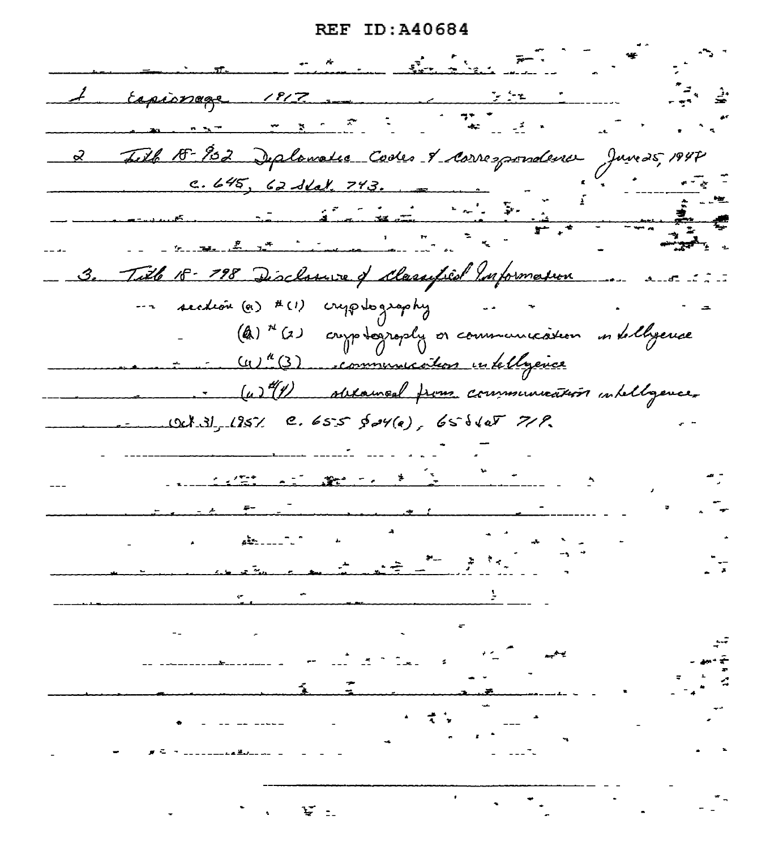# **REF ID: A40684**

| 1 rapionage 1917                                             |  |
|--------------------------------------------------------------|--|
| <u>i i provincia de la conte</u>                             |  |
|                                                              |  |
| 2 Juil 15-952 Deplomatic Codes & Correspondence Juvids, 1947 |  |
| c.645, 62, 161, 743.<br>$-6.645, 62$ del 743.                |  |
|                                                              |  |
|                                                              |  |
| 3. Title 18-798 Disclassive & Classified Information         |  |
| -- section (a) $#(1)$ cryptography -- + - - - =              |  |
| (2) *(2) cryptography or communication indeligence           |  |
| Car <sup>4</sup> (3) communication intellyence               |  |
| (a) (1) absourced from communication intelligence.           |  |
| $1257$ e. 655 $94(0)$ , 65 $6407$ 71P.                       |  |
|                                                              |  |
|                                                              |  |
|                                                              |  |
|                                                              |  |
|                                                              |  |
|                                                              |  |
|                                                              |  |
|                                                              |  |
|                                                              |  |
|                                                              |  |
|                                                              |  |
|                                                              |  |
|                                                              |  |
|                                                              |  |